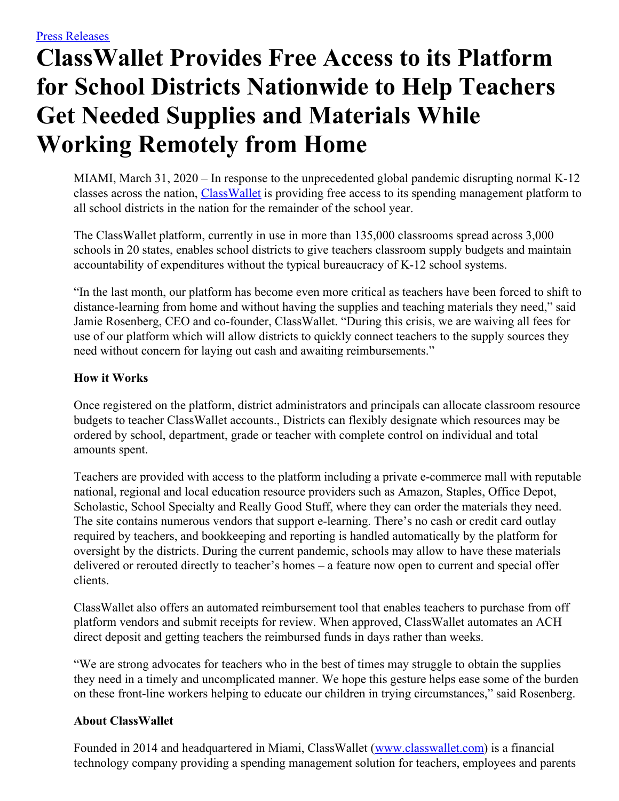## **ClassWallet Provides Free Access to its Platform for School Districts Nationwide to Help Teachers Get Needed Supplies and Materials While Working Remotely from Home**

MIAMI, March 31, 2020 – In response to the unprecedented global pandemic disrupting normal K-12 classes across the nation, [ClassWallet](https://www.classwallet.com/?utm_source=feintuch&utm_medium=press-release&utm_campaign=pr-web) is providing free access to its spending management platform to all school districts in the nation for the remainder of the school year.

The ClassWallet platform, currently in use in more than 135,000 classrooms spread across 3,000 schools in 20 states, enables school districts to give teachers classroom supply budgets and maintain accountability of expenditures without the typical bureaucracy of K-12 school systems.

"In the last month, our platform has become even more critical as teachers have been forced to shift to distance-learning from home and without having the supplies and teaching materials they need," said Jamie Rosenberg, CEO and co-founder, ClassWallet. "During this crisis, we are waiving all fees for use of our platform which will allow districts to quickly connect teachers to the supply sources they need without concern for laying out cash and awaiting reimbursements."

## **How it Works**

Once registered on the platform, district administrators and principals can allocate classroom resource budgets to teacher ClassWallet accounts., Districts can flexibly designate which resources may be ordered by school, department, grade or teacher with complete control on individual and total amounts spent.

Teachers are provided with access to the platform including a private e-commerce mall with reputable national, regional and local education resource providers such as Amazon, Staples, Office Depot, Scholastic, School Specialty and Really Good Stuff, where they can order the materials they need. The site contains numerous vendors that support e-learning. There's no cash or credit card outlay required by teachers, and bookkeeping and reporting is handled automatically by the platform for oversight by the districts. During the current pandemic, schools may allow to have these materials delivered or rerouted directly to teacher's homes – a feature now open to current and special offer clients.

ClassWallet also offers an automated reimbursement tool that enables teachers to purchase from off platform vendors and submit receipts for review. When approved, ClassWallet automates an ACH direct deposit and getting teachers the reimbursed funds in days rather than weeks.

"We are strong advocates for teachers who in the best of times may struggle to obtain the supplies they need in a timely and uncomplicated manner. We hope this gesture helps ease some of the burden on these front-line workers helping to educate our children in trying circumstances," said Rosenberg.

## **About ClassWallet**

Founded in 2014 and headquartered in Miami, ClassWallet ([www.classwallet.com\)](http://www.classwallet.com/) is a financial technology company providing a spending management solution for teachers, employees and parents